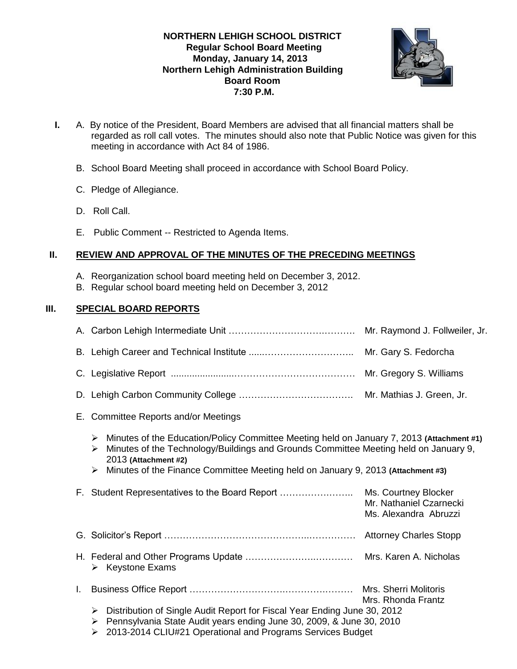# **NORTHERN LEHIGH SCHOOL DISTRICT Regular School Board Meeting Monday, January 14, 2013 Northern Lehigh Administration Building Board Room 7:30 P.M.**



- **I.** A. By notice of the President, Board Members are advised that all financial matters shall be regarded as roll call votes. The minutes should also note that Public Notice was given for this meeting in accordance with Act 84 of 1986.
	- B. School Board Meeting shall proceed in accordance with School Board Policy.
	- C. Pledge of Allegiance.
	- D. Roll Call.
	- E. Public Comment -- Restricted to Agenda Items.

# **II. REVIEW AND APPROVAL OF THE MINUTES OF THE PRECEDING MEETINGS**

- A. Reorganization school board meeting held on December 3, 2012.
- B. Regular school board meeting held on December 3, 2012

# **III. SPECIAL BOARD REPORTS**

|    |                                                                                                                                                                                                                                                                                                              | Mr. Raymond J. Follweiler, Jr.                                           |  |
|----|--------------------------------------------------------------------------------------------------------------------------------------------------------------------------------------------------------------------------------------------------------------------------------------------------------------|--------------------------------------------------------------------------|--|
|    |                                                                                                                                                                                                                                                                                                              | Mr. Gary S. Fedorcha                                                     |  |
|    |                                                                                                                                                                                                                                                                                                              |                                                                          |  |
|    |                                                                                                                                                                                                                                                                                                              |                                                                          |  |
|    | E. Committee Reports and/or Meetings                                                                                                                                                                                                                                                                         |                                                                          |  |
|    | Minutes of the Education/Policy Committee Meeting held on January 7, 2013 (Attachment #1)<br>➤<br>Minutes of the Technology/Buildings and Grounds Committee Meeting held on January 9,<br>➤<br>2013 (Attachment #2)<br>Minutes of the Finance Committee Meeting held on January 9, 2013 (Attachment #3)<br>➤ |                                                                          |  |
|    | F. Student Representatives to the Board Report                                                                                                                                                                                                                                                               | Ms. Courtney Blocker<br>Mr. Nathaniel Czarnecki<br>Ms. Alexandra Abruzzi |  |
|    |                                                                                                                                                                                                                                                                                                              |                                                                          |  |
|    | $\triangleright$ Keystone Exams                                                                                                                                                                                                                                                                              |                                                                          |  |
| L. |                                                                                                                                                                                                                                                                                                              | Mrs. Sherri Molitoris                                                    |  |
|    | Mrs. Rhonda Frantz<br>Distribution of Single Audit Report for Fiscal Year Ending June 30, 2012<br>➤<br>Pennsylvania State Audit years ending June 30, 2009, & June 30, 2010<br>➤<br>2013-2014 CLIU#21 Operational and Programs Services Budget<br>➤                                                          |                                                                          |  |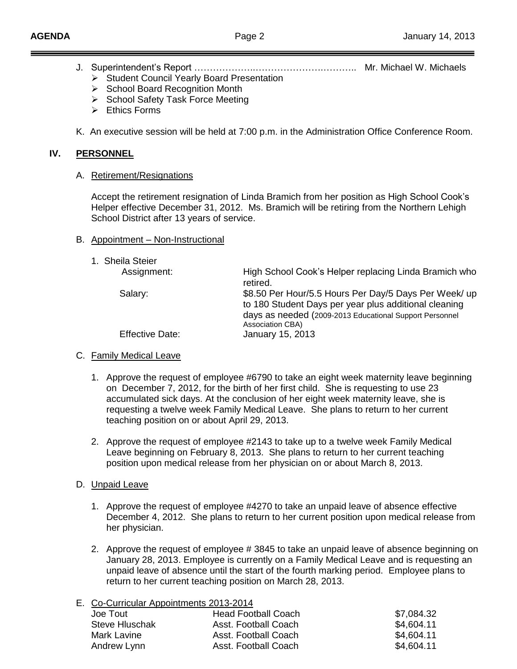- J. Superintendent's Report ………………..………………….……….. Mr. Michael W. Michaels
	- Student Council Yearly Board Presentation
	- ▶ School Board Recognition Month
	- ▶ School Safety Task Force Meeting
	- $\triangleright$  Ethics Forms
- K. An executive session will be held at 7:00 p.m. in the Administration Office Conference Room.

# **IV. PERSONNEL**

## A. Retirement/Resignations

Accept the retirement resignation of Linda Bramich from her position as High School Cook's Helper effective December 31, 2012. Ms. Bramich will be retiring from the Northern Lehigh School District after 13 years of service.

# B. Appointment – Non-Instructional

| 1. Sheila Steier |
|------------------|
|------------------|

| Ununu Ululu            |                                                                                                                                                                                               |
|------------------------|-----------------------------------------------------------------------------------------------------------------------------------------------------------------------------------------------|
| Assignment:            | High School Cook's Helper replacing Linda Bramich who<br>retired.                                                                                                                             |
| Salary:                | \$8.50 Per Hour/5.5 Hours Per Day/5 Days Per Week/ up<br>to 180 Student Days per year plus additional cleaning<br>days as needed (2009-2013 Educational Support Personnel<br>Association CBA) |
| <b>Effective Date:</b> | January 15, 2013                                                                                                                                                                              |

# C. Family Medical Leave

- 1. Approve the request of employee #6790 to take an eight week maternity leave beginning on December 7, 2012, for the birth of her first child. She is requesting to use 23 accumulated sick days. At the conclusion of her eight week maternity leave, she is requesting a twelve week Family Medical Leave. She plans to return to her current teaching position on or about April 29, 2013.
- 2. Approve the request of employee #2143 to take up to a twelve week Family Medical Leave beginning on February 8, 2013. She plans to return to her current teaching position upon medical release from her physician on or about March 8, 2013.

# D. Unpaid Leave

- 1. Approve the request of employee #4270 to take an unpaid leave of absence effective December 4, 2012. She plans to return to her current position upon medical release from her physician.
- 2. Approve the request of employee # 3845 to take an unpaid leave of absence beginning on January 28, 2013. Employee is currently on a Family Medical Leave and is requesting an unpaid leave of absence until the start of the fourth marking period. Employee plans to return to her current teaching position on March 28, 2013.

| E. Co-Curricular Appointments 2013-2014 |                            |            |  |
|-----------------------------------------|----------------------------|------------|--|
| Joe Tout                                | <b>Head Football Coach</b> | \$7,084.32 |  |
| Steve Hluschak                          | Asst. Football Coach       | \$4,604.11 |  |
| Mark Lavine                             | Asst. Football Coach       | \$4,604.11 |  |
| Andrew Lynn                             | Asst. Football Coach       | \$4,604.11 |  |
|                                         |                            |            |  |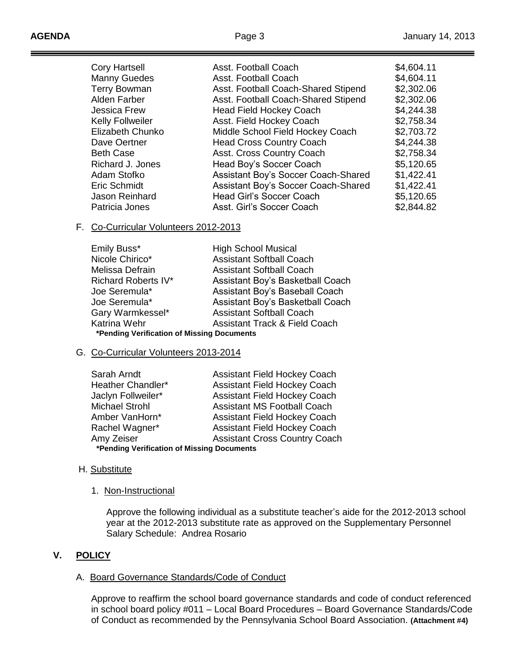| Asst. Football Coach                | \$4,604.11 |
|-------------------------------------|------------|
| Asst. Football Coach                | \$4,604.11 |
| Asst. Football Coach-Shared Stipend | \$2,302.06 |
| Asst. Football Coach-Shared Stipend | \$2,302.06 |
| <b>Head Field Hockey Coach</b>      | \$4,244.38 |
| Asst. Field Hockey Coach            | \$2,758.34 |
| Middle School Field Hockey Coach    | \$2,703.72 |
| <b>Head Cross Country Coach</b>     | \$4,244.38 |
| Asst. Cross Country Coach           | \$2,758.34 |
| Head Boy's Soccer Coach             | \$5,120.65 |
| Assistant Boy's Soccer Coach-Shared | \$1,422.41 |
| Assistant Boy's Soccer Coach-Shared | \$1,422.41 |
| Head Girl's Soccer Coach            | \$5,120.65 |
| Asst. Girl's Soccer Coach           | \$2,844.82 |
|                                     |            |

#### F. Co-Curricular Volunteers 2012-2013

| Emily Buss*                                | <b>High School Musical</b>               |  |  |
|--------------------------------------------|------------------------------------------|--|--|
| Nicole Chirico*                            | <b>Assistant Softball Coach</b>          |  |  |
| Melissa Defrain                            | <b>Assistant Softball Coach</b>          |  |  |
| Richard Roberts IV*                        | Assistant Boy's Basketball Coach         |  |  |
| Joe Seremula*                              | Assistant Boy's Baseball Coach           |  |  |
| Joe Seremula*                              | Assistant Boy's Basketball Coach         |  |  |
| Gary Warmkessel*                           | <b>Assistant Softball Coach</b>          |  |  |
| Katrina Wehr                               | <b>Assistant Track &amp; Field Coach</b> |  |  |
| *Pending Verification of Missing Documents |                                          |  |  |

#### G. Co-Curricular Volunteers 2013-2014

| Sarah Arndt                                | <b>Assistant Field Hockey Coach</b>  |  |  |
|--------------------------------------------|--------------------------------------|--|--|
| Heather Chandler*                          | <b>Assistant Field Hockey Coach</b>  |  |  |
| Jaclyn Follweiler*                         | <b>Assistant Field Hockey Coach</b>  |  |  |
| <b>Michael Strohl</b>                      | <b>Assistant MS Football Coach</b>   |  |  |
| Amber VanHorn*                             | <b>Assistant Field Hockey Coach</b>  |  |  |
| Rachel Wagner*                             | <b>Assistant Field Hockey Coach</b>  |  |  |
| Amy Zeiser                                 | <b>Assistant Cross Country Coach</b> |  |  |
| *Pending Verification of Missing Documents |                                      |  |  |

### H. Substitute

#### 1. Non-Instructional

Approve the following individual as a substitute teacher's aide for the 2012-2013 school year at the 2012-2013 substitute rate as approved on the Supplementary Personnel Salary Schedule: Andrea Rosario

# **V. POLICY**

### A. Board Governance Standards/Code of Conduct

Approve to reaffirm the school board governance standards and code of conduct referenced in school board policy #011 – Local Board Procedures – Board Governance Standards/Code of Conduct as recommended by the Pennsylvania School Board Association. **(Attachment #4)**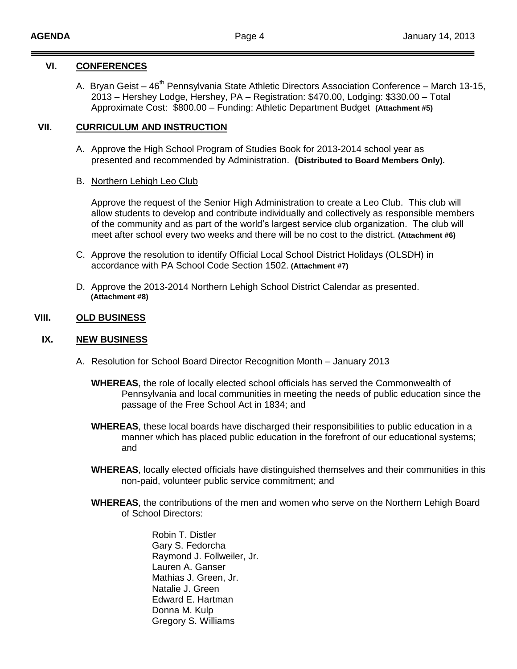## **VI. CONFERENCES**

A. Bryan Geist –  $46<sup>th</sup>$  Pennsylvania State Athletic Directors Association Conference – March 13-15, 2013 – Hershey Lodge, Hershey, PA – Registration: \$470.00, Lodging: \$330.00 – Total Approximate Cost: \$800.00 – Funding: Athletic Department Budget **(Attachment #5)**

# **VII. CURRICULUM AND INSTRUCTION**

A. Approve the High School Program of Studies Book for 2013-2014 school year as presented and recommended by Administration. **(Distributed to Board Members Only).** 

## B. Northern Lehigh Leo Club

Approve the request of the Senior High Administration to create a Leo Club. This club will allow students to develop and contribute individually and collectively as responsible members of the community and as part of the world's largest service club organization. The club will meet after school every two weeks and there will be no cost to the district. **(Attachment #6)**

- C. Approve the resolution to identify Official Local School District Holidays (OLSDH) in accordance with PA School Code Section 1502. **(Attachment #7)**
- D. Approve the 2013-2014 Northern Lehigh School District Calendar as presented.  **(Attachment #8)**

## **VIII. OLD BUSINESS**

### **IX. NEW BUSINESS**

- A. Resolution for School Board Director Recognition Month January 2013
	- **WHEREAS**, the role of locally elected school officials has served the Commonwealth of Pennsylvania and local communities in meeting the needs of public education since the passage of the Free School Act in 1834; and
	- **WHEREAS**, these local boards have discharged their responsibilities to public education in a manner which has placed public education in the forefront of our educational systems; and
	- **WHEREAS**, locally elected officials have distinguished themselves and their communities in this non-paid, volunteer public service commitment; and
	- **WHEREAS**, the contributions of the men and women who serve on the Northern Lehigh Board of School Directors:

Robin T. Distler Gary S. Fedorcha Raymond J. Follweiler, Jr. Lauren A. Ganser Mathias J. Green, Jr. Natalie J. Green Edward E. Hartman Donna M. Kulp Gregory S. Williams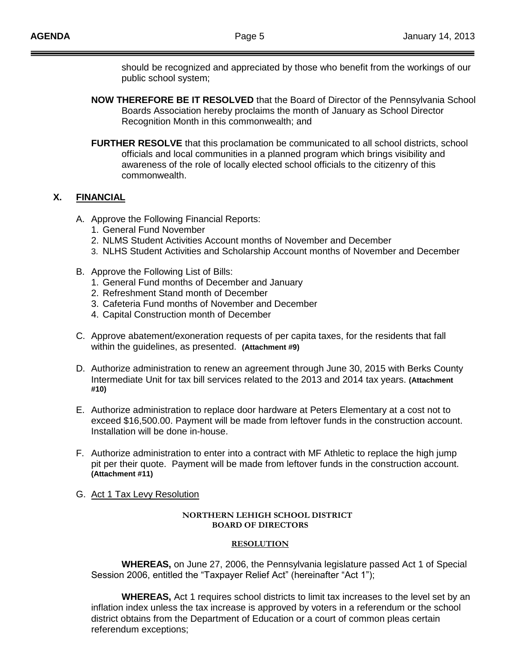should be recognized and appreciated by those who benefit from the workings of our public school system;

- **NOW THEREFORE BE IT RESOLVED** that the Board of Director of the Pennsylvania School Boards Association hereby proclaims the month of January as School Director Recognition Month in this commonwealth; and
- **FURTHER RESOLVE** that this proclamation be communicated to all school districts, school officials and local communities in a planned program which brings visibility and awareness of the role of locally elected school officials to the citizenry of this commonwealth.

# **X. FINANCIAL**

- A. Approve the Following Financial Reports:
	- 1. General Fund November
	- 2. NLMS Student Activities Account months of November and December
	- 3. NLHS Student Activities and Scholarship Account months of November and December
- B. Approve the Following List of Bills:
	- 1. General Fund months of December and January
	- 2. Refreshment Stand month of December
	- 3. Cafeteria Fund months of November and December
	- 4. Capital Construction month of December
- C. Approve abatement/exoneration requests of per capita taxes, for the residents that fall within the guidelines, as presented. **(Attachment #9)**
- D. Authorize administration to renew an agreement through June 30, 2015 with Berks County Intermediate Unit for tax bill services related to the 2013 and 2014 tax years. **(Attachment #10)**
- E. Authorize administration to replace door hardware at Peters Elementary at a cost not to exceed \$16,500.00. Payment will be made from leftover funds in the construction account. Installation will be done in-house.
- F. Authorize administration to enter into a contract with MF Athletic to replace the high jump pit per their quote. Payment will be made from leftover funds in the construction account. **(Attachment #11)**
- G. Act 1 Tax Levy Resolution

#### **NORTHERN LEHIGH SCHOOL DISTRICT BOARD OF DIRECTORS**

#### **RESOLUTION**

**WHEREAS,** on June 27, 2006, the Pennsylvania legislature passed Act 1 of Special Session 2006, entitled the "Taxpayer Relief Act" (hereinafter "Act 1");

**WHEREAS,** Act 1 requires school districts to limit tax increases to the level set by an inflation index unless the tax increase is approved by voters in a referendum or the school district obtains from the Department of Education or a court of common pleas certain referendum exceptions;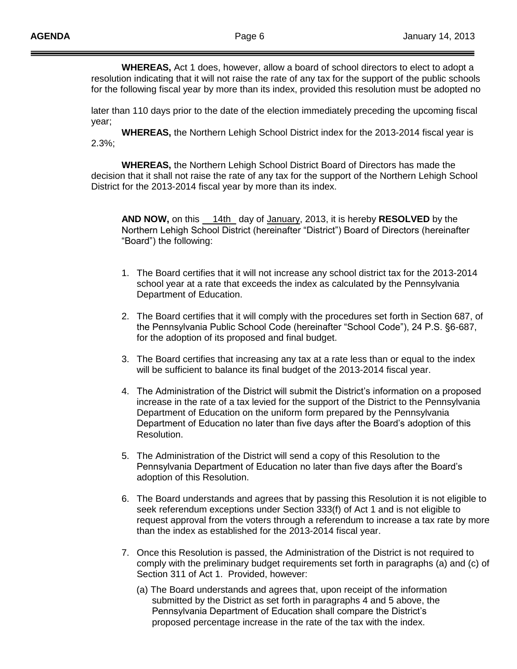**WHEREAS,** Act 1 does, however, allow a board of school directors to elect to adopt a resolution indicating that it will not raise the rate of any tax for the support of the public schools for the following fiscal year by more than its index, provided this resolution must be adopted no

later than 110 days prior to the date of the election immediately preceding the upcoming fiscal year;

**WHEREAS,** the Northern Lehigh School District index for the 2013-2014 fiscal year is 2.3%;

**WHEREAS,** the Northern Lehigh School District Board of Directors has made the decision that it shall not raise the rate of any tax for the support of the Northern Lehigh School District for the 2013-2014 fiscal year by more than its index.

**AND NOW,** on this 14th day of January, 2013, it is hereby **RESOLVED** by the Northern Lehigh School District (hereinafter "District") Board of Directors (hereinafter "Board") the following:

- 1. The Board certifies that it will not increase any school district tax for the 2013-2014 school year at a rate that exceeds the index as calculated by the Pennsylvania Department of Education.
- 2. The Board certifies that it will comply with the procedures set forth in Section 687, of the Pennsylvania Public School Code (hereinafter "School Code"), 24 P.S. §6-687, for the adoption of its proposed and final budget.
- 3. The Board certifies that increasing any tax at a rate less than or equal to the index will be sufficient to balance its final budget of the 2013-2014 fiscal year.
- 4. The Administration of the District will submit the District's information on a proposed increase in the rate of a tax levied for the support of the District to the Pennsylvania Department of Education on the uniform form prepared by the Pennsylvania Department of Education no later than five days after the Board's adoption of this Resolution.
- 5. The Administration of the District will send a copy of this Resolution to the Pennsylvania Department of Education no later than five days after the Board's adoption of this Resolution.
- 6. The Board understands and agrees that by passing this Resolution it is not eligible to seek referendum exceptions under Section 333(f) of Act 1 and is not eligible to request approval from the voters through a referendum to increase a tax rate by more than the index as established for the 2013-2014 fiscal year.
- 7. Once this Resolution is passed, the Administration of the District is not required to comply with the preliminary budget requirements set forth in paragraphs (a) and (c) of Section 311 of Act 1. Provided, however:
	- (a) The Board understands and agrees that, upon receipt of the information submitted by the District as set forth in paragraphs 4 and 5 above, the Pennsylvania Department of Education shall compare the District's proposed percentage increase in the rate of the tax with the index.